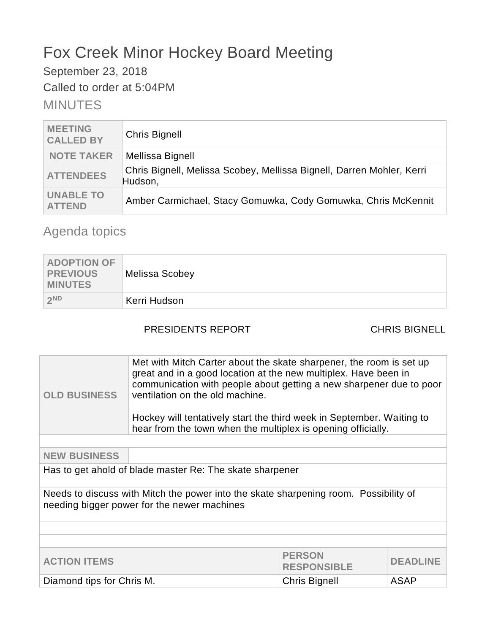# Fox Creek Minor Hockey Board Meeting

September 23, 2018

Called to order at 5:04PM

# MINUTES

| <b>MEETING</b><br><b>CALLED BY</b> | <b>Chris Bignell</b>                                                             |
|------------------------------------|----------------------------------------------------------------------------------|
| <b>NOTE TAKER</b>                  | Mellissa Bignell                                                                 |
| <b>ATTENDEES</b>                   | Chris Bignell, Melissa Scobey, Mellissa Bignell, Darren Mohler, Kerri<br>Hudson, |
| <b>UNABLE TO</b><br><b>ATTEND</b>  | Amber Carmichael, Stacy Gomuwka, Cody Gomuwka, Chris McKennit                    |

# Agenda topics

| <b>ADOPTION OF</b><br>PREVIOUS<br><b>MINUTES</b> | <b>Melissa Scobey</b> |
|--------------------------------------------------|-----------------------|
| 2ND                                              | Kerri Hudson          |

## PRESIDENTS REPORT CHRIS BIGNELL

| <b>OLD BUSINESS</b>                                                                                                                 | Met with Mitch Carter about the skate sharpener, the room is set up<br>great and in a good location at the new multiplex. Have been in<br>communication with people about getting a new sharpener due to poor<br>ventilation on the old machine.<br>Hockey will tentatively start the third week in September. Waiting to<br>hear from the town when the multiplex is opening officially. |  |  |
|-------------------------------------------------------------------------------------------------------------------------------------|-------------------------------------------------------------------------------------------------------------------------------------------------------------------------------------------------------------------------------------------------------------------------------------------------------------------------------------------------------------------------------------------|--|--|
|                                                                                                                                     |                                                                                                                                                                                                                                                                                                                                                                                           |  |  |
| <b>NEW BUSINESS</b>                                                                                                                 |                                                                                                                                                                                                                                                                                                                                                                                           |  |  |
| Has to get ahold of blade master Re: The skate sharpener                                                                            |                                                                                                                                                                                                                                                                                                                                                                                           |  |  |
| Needs to discuss with Mitch the power into the skate sharpening room. Possibility of<br>needing bigger power for the newer machines |                                                                                                                                                                                                                                                                                                                                                                                           |  |  |
|                                                                                                                                     |                                                                                                                                                                                                                                                                                                                                                                                           |  |  |
|                                                                                                                                     |                                                                                                                                                                                                                                                                                                                                                                                           |  |  |
| <b>PERSON</b><br><b>ACTION ITEMS</b><br><b>DEADLINE</b><br><b>RESPONSIBLE</b>                                                       |                                                                                                                                                                                                                                                                                                                                                                                           |  |  |
| ASAP<br>Diamond tips for Chris M.<br><b>Chris Bignell</b>                                                                           |                                                                                                                                                                                                                                                                                                                                                                                           |  |  |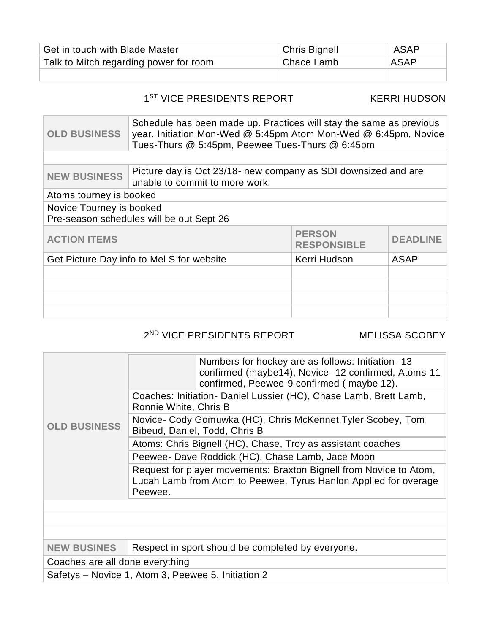| Get in touch with Blade Master         | <b>Chris Bignell</b> | ASAP |
|----------------------------------------|----------------------|------|
| Talk to Mitch regarding power for room | Chace Lamb           | ASAP |
|                                        |                      |      |

### 1<sup>ST</sup> VICE PRESIDENTS REPORT KERRI HUDSON

| <b>OLD BUSINESS</b>                                                  | Schedule has been made up. Practices will stay the same as previous<br>year. Initiation Mon-Wed @ 5:45pm Atom Mon-Wed @ 6:45pm, Novice<br>Tues-Thurs @ 5:45pm, Peewee Tues-Thurs @ 6:45pm |                 |             |  |
|----------------------------------------------------------------------|-------------------------------------------------------------------------------------------------------------------------------------------------------------------------------------------|-----------------|-------------|--|
|                                                                      |                                                                                                                                                                                           |                 |             |  |
| <b>NEW BUSINESS</b>                                                  | Picture day is Oct 23/18- new company as SDI downsized and are<br>unable to commit to more work.                                                                                          |                 |             |  |
| Atoms tourney is booked                                              |                                                                                                                                                                                           |                 |             |  |
| Novice Tourney is booked<br>Pre-season schedules will be out Sept 26 |                                                                                                                                                                                           |                 |             |  |
| <b>PERSON</b><br><b>ACTION ITEMS</b><br><b>RESPONSIBLE</b>           |                                                                                                                                                                                           | <b>DEADLINE</b> |             |  |
| Get Picture Day info to Mel S for website                            |                                                                                                                                                                                           | Kerri Hudson    | <b>ASAP</b> |  |
|                                                                      |                                                                                                                                                                                           |                 |             |  |
|                                                                      |                                                                                                                                                                                           |                 |             |  |
|                                                                      |                                                                                                                                                                                           |                 |             |  |
|                                                                      |                                                                                                                                                                                           |                 |             |  |

#### 2 ND VICE PRESIDENTS REPORT MELISSA SCOBEY

|                                                    | Numbers for hockey are as follows: Initiation-13<br>confirmed (maybe14), Novice-12 confirmed, Atoms-11<br>confirmed, Peewee-9 confirmed (maybe 12). |  |  |
|----------------------------------------------------|-----------------------------------------------------------------------------------------------------------------------------------------------------|--|--|
|                                                    | Coaches: Initiation- Daniel Lussier (HC), Chase Lamb, Brett Lamb,<br>Ronnie White, Chris B                                                          |  |  |
| <b>OLD BUSINESS</b>                                | Novice- Cody Gomuwka (HC), Chris McKennet, Tyler Scobey, Tom<br>Bibeud, Daniel, Todd, Chris B                                                       |  |  |
|                                                    | Atoms: Chris Bignell (HC), Chase, Troy as assistant coaches                                                                                         |  |  |
|                                                    | Peewee- Dave Roddick (HC), Chase Lamb, Jace Moon                                                                                                    |  |  |
|                                                    | Request for player movements: Braxton Bignell from Novice to Atom,<br>Lucah Lamb from Atom to Peewee, Tyrus Hanlon Applied for overage<br>Peewee.   |  |  |
|                                                    |                                                                                                                                                     |  |  |
|                                                    |                                                                                                                                                     |  |  |
|                                                    |                                                                                                                                                     |  |  |
| <b>NEW BUSINES</b>                                 | Respect in sport should be completed by everyone.                                                                                                   |  |  |
| Coaches are all done everything                    |                                                                                                                                                     |  |  |
| Safetys - Novice 1, Atom 3, Peewee 5, Initiation 2 |                                                                                                                                                     |  |  |

Safetys – Novice 1, Atom 3, Peewee 5, Initiation 2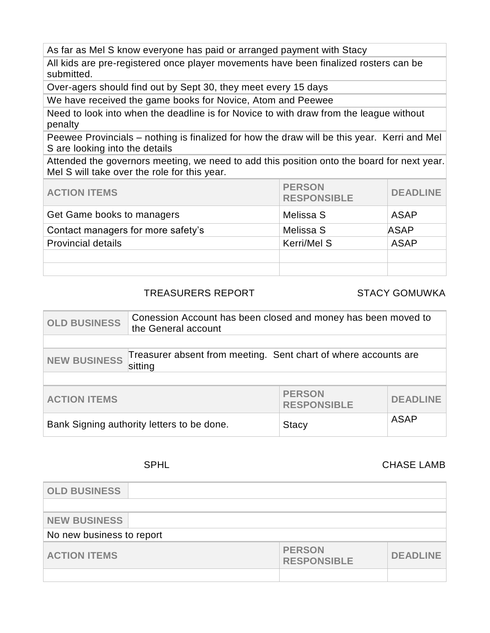As far as Mel S know everyone has paid or arranged payment with Stacy

All kids are pre-registered once player movements have been finalized rosters can be submitted.

Over-agers should find out by Sept 30, they meet every 15 days

We have received the game books for Novice, Atom and Peewee

Need to look into when the deadline is for Novice to with draw from the league without penalty

Peewee Provincials – nothing is finalized for how the draw will be this year. Kerri and Mel S are looking into the details

Attended the governors meeting, we need to add this position onto the board for next year. Mel S will take over the role for this year.

| <b>ACTION ITEMS</b>                | <b>PERSON</b><br><b>RESPONSIBLE</b> | <b>DEADLINE</b> |
|------------------------------------|-------------------------------------|-----------------|
| Get Game books to managers         | Melissa S                           | ASAP            |
| Contact managers for more safety's | Melissa S                           | <b>ASAP</b>     |
| <b>Provincial details</b>          | Kerri/Mel S                         | <b>ASAP</b>     |
|                                    |                                     |                 |
|                                    |                                     |                 |

#### TREASURERS REPORT STACY GOMUWKA

| <b>OLD BUSINESS</b>                                                                               | Conession Account has been closed and money has been moved to<br>the General account |                 |  |
|---------------------------------------------------------------------------------------------------|--------------------------------------------------------------------------------------|-----------------|--|
|                                                                                                   |                                                                                      |                 |  |
| Treasurer absent from meeting. Sent chart of where accounts are<br><b>NEW BUSINESS</b><br>sitting |                                                                                      |                 |  |
|                                                                                                   |                                                                                      |                 |  |
| <b>PERSON</b><br><b>ACTION ITEMS</b><br><b>RESPONSIBLE</b>                                        |                                                                                      | <b>DEADLINE</b> |  |
| Bank Signing authority letters to be done.<br><b>Stacy</b>                                        |                                                                                      | <b>ASAP</b>     |  |

### SPHL CHASE LAMB

| <b>OLD BUSINESS</b>       |                                     |                 |  |
|---------------------------|-------------------------------------|-----------------|--|
|                           |                                     |                 |  |
| <b>NEW BUSINESS</b>       |                                     |                 |  |
| No new business to report |                                     |                 |  |
| <b>ACTION ITEMS</b>       | <b>PERSON</b><br><b>RESPONSIBLE</b> | <b>DEADLINE</b> |  |
|                           |                                     |                 |  |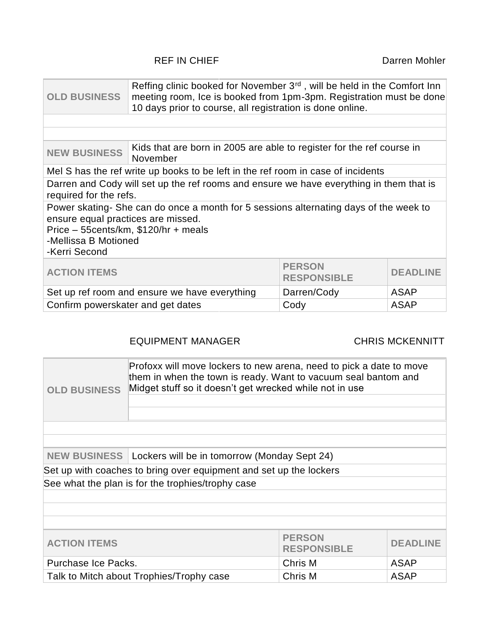### REF IN CHIEF **Darren Mohler**

| <b>OLD BUSINESS</b>                                                                                                                                                                                          | Reffing clinic booked for November 3 <sup>rd</sup> , will be held in the Comfort Inn<br>meeting room, Ice is booked from 1pm-3pm. Registration must be done<br>10 days prior to course, all registration is done online. |  |                 |
|--------------------------------------------------------------------------------------------------------------------------------------------------------------------------------------------------------------|--------------------------------------------------------------------------------------------------------------------------------------------------------------------------------------------------------------------------|--|-----------------|
|                                                                                                                                                                                                              |                                                                                                                                                                                                                          |  |                 |
|                                                                                                                                                                                                              |                                                                                                                                                                                                                          |  |                 |
| <b>NEW BUSINESS</b>                                                                                                                                                                                          | Kids that are born in 2005 are able to register for the ref course in<br>November                                                                                                                                        |  |                 |
|                                                                                                                                                                                                              | Mel S has the ref write up books to be left in the ref room in case of incidents                                                                                                                                         |  |                 |
| Darren and Cody will set up the ref rooms and ensure we have everything in them that is<br>required for the refs.                                                                                            |                                                                                                                                                                                                                          |  |                 |
| Power skating-She can do once a month for 5 sessions alternating days of the week to<br>ensure equal practices are missed.<br>Price - 55 cents/km, \$120/hr + meals<br>-Mellissa B Motioned<br>-Kerri Second |                                                                                                                                                                                                                          |  |                 |
| <b>PERSON</b><br><b>ACTION ITEMS</b><br><b>RESPONSIBLE</b>                                                                                                                                                   |                                                                                                                                                                                                                          |  | <b>DEADLINE</b> |
| Set up ref room and ensure we have everything<br>Darren/Cody<br><b>ASAP</b>                                                                                                                                  |                                                                                                                                                                                                                          |  |                 |
| <b>ASAP</b><br>Confirm powerskater and get dates<br>Cody                                                                                                                                                     |                                                                                                                                                                                                                          |  |                 |

### EQUIPMENT MANAGER CHRIS MCKENNITT

| Profoxx will move lockers to new arena, need to pick a date to move<br>them in when the town is ready. Want to vacuum seal bantom and<br>Midget stuff so it doesn't get wrecked while not in use<br><b>OLD BUSINESS</b> |                                                                    |  |  |
|-------------------------------------------------------------------------------------------------------------------------------------------------------------------------------------------------------------------------|--------------------------------------------------------------------|--|--|
|                                                                                                                                                                                                                         |                                                                    |  |  |
|                                                                                                                                                                                                                         |                                                                    |  |  |
| NEW BUSINESS   Lockers will be in tomorrow (Monday Sept 24)                                                                                                                                                             |                                                                    |  |  |
|                                                                                                                                                                                                                         | Set up with coaches to bring over equipment and set up the lockers |  |  |
| See what the plan is for the trophies/trophy case                                                                                                                                                                       |                                                                    |  |  |
|                                                                                                                                                                                                                         |                                                                    |  |  |
|                                                                                                                                                                                                                         |                                                                    |  |  |
|                                                                                                                                                                                                                         |                                                                    |  |  |
| <b>PERSON</b><br><b>ACTION ITEMS</b><br><b>DEADLINE</b><br><b>RESPONSIBLE</b>                                                                                                                                           |                                                                    |  |  |
| Purchase Ice Packs.<br>Chris M<br><b>ASAP</b>                                                                                                                                                                           |                                                                    |  |  |
| Chris M<br><b>ASAP</b><br>Talk to Mitch about Trophies/Trophy case                                                                                                                                                      |                                                                    |  |  |
|                                                                                                                                                                                                                         |                                                                    |  |  |